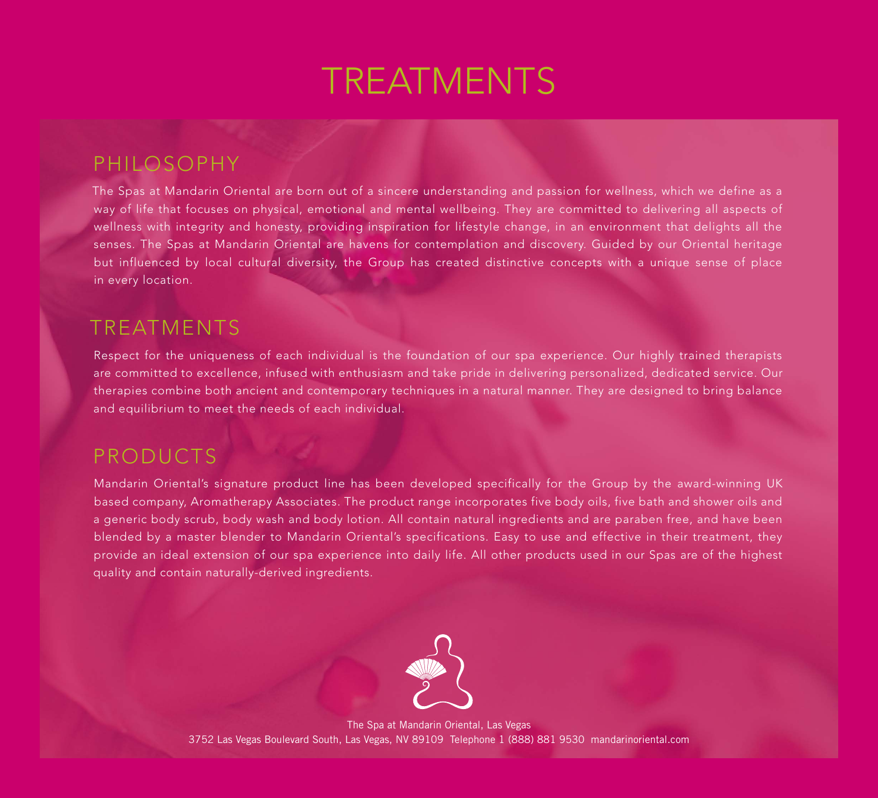# **TREATMENTS**

# PHILOSOPHY

The Spas at Mandarin Oriental are born out of a sincere understanding and passion for wellness, which we define as a way of life that focuses on physical, emotional and mental wellbeing. They are committed to delivering all aspects of wellness with integrity and honesty, providing inspiration for lifestyle change, in an environment that delights all the senses. The Spas at Mandarin Oriental are havens for contemplation and discovery. Guided by our Oriental heritage but influenced by local cultural diversity, the Group has created distinctive concepts with a unique sense of place in every location.

# TREATMENTS

Respect for the uniqueness of each individual is the foundation of our spa experience. Our highly trained therapists are committed to excellence, infused with enthusiasm and take pride in delivering personalized, dedicated service. Our therapies combine both ancient and contemporary techniques in a natural manner. They are designed to bring balance and equilibrium to meet the needs of each individual.

# PRODUCTS

Mandarin Oriental's signature product line has been developed specifically for the Group by the award-winning UK based company, Aromatherapy Associates. The product range incorporates five body oils, five bath and shower oils and a generic body scrub, body wash and body lotion. All contain natural ingredients and are paraben free, and have been blended by a master blender to Mandarin Oriental's specifications. Easy to use and effective in their treatment, they provide an ideal extension of our spa experience into daily life. All other products used in our Spas are of the highest quality and contain naturally-derived ingredients.



The Spa at Mandarin Oriental, Las Vegas 3752 Las Vegas Boulevard South, Las Vegas, NV 89109 Telephone 1 (888) 881 9530 mandarinoriental.com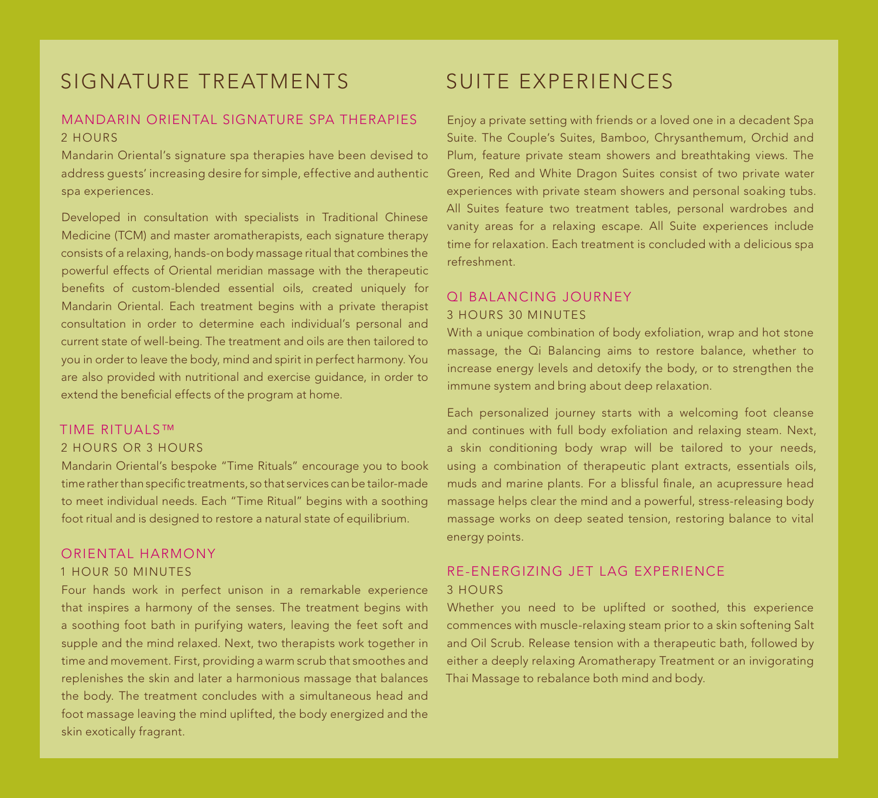# signature treatments

### MANDARIN ORIENTAL SIGNATURE SPA THERAPIES 2 hours

Mandarin Oriental's signature spa therapies have been devised to address guests' increasing desire for simple, effective and authentic spa experiences.

Developed in consultation with specialists in Traditional Chinese Medicine (TCM) and master aromatherapists, each signature therapy consists of a relaxing, hands-on body massage ritual that combines the powerful effects of Oriental meridian massage with the therapeutic benefits of custom-blended essential oils, created uniquely for Mandarin Oriental. Each treatment begins with a private therapist consultation in order to determine each individual's personal and current state of well-being. The treatment and oils are then tailored to you in order to leave the body, mind and spirit in perfect harmony. You are also provided with nutritional and exercise guidance, in order to extend the beneficial effects of the program at home.

#### TIME RITUALS™

#### 2 hours or 3 hours

Mandarin Oriental's bespoke "Time Rituals" encourage you to book time rather than specific treatments, so that services can be tailor-made to meet individual needs. Each "Time Ritual" begins with a soothing foot ritual and is designed to restore a natural state of equilibrium.

### ORIENTAL HARMONY 1 hour 50 minutes

Four hands work in perfect unison in a remarkable experience that inspires a harmony of the senses. The treatment begins with a soothing foot bath in purifying waters, leaving the feet soft and supple and the mind relaxed. Next, two therapists work together in time and movement. First, providing a warm scrub that smoothes and replenishes the skin and later a harmonious massage that balances the body. The treatment concludes with a simultaneous head and foot massage leaving the mind uplifted, the body energized and the skin exotically fragrant.

# SUITE EXPERIENCES

Enjoy a private setting with friends or a loved one in a decadent Spa Suite. The Couple's Suites, Bamboo, Chrysanthemum, Orchid and Plum, feature private steam showers and breathtaking views. The Green, Red and White Dragon Suites consist of two private water experiences with private steam showers and personal soaking tubs. All Suites feature two treatment tables, personal wardrobes and vanity areas for a relaxing escape. All Suite experiences include time for relaxation. Each treatment is concluded with a delicious spa refreshment.

#### QI BALANCING JOURNEY 3 hours 30 minutes

With a unique combination of body exfoliation, wrap and hot stone massage, the Qi Balancing aims to restore balance, whether to increase energy levels and detoxify the body, or to strengthen the immune system and bring about deep relaxation.

Each personalized journey starts with a welcoming foot cleanse and continues with full body exfoliation and relaxing steam. Next, a skin conditioning body wrap will be tailored to your needs, using a combination of therapeutic plant extracts, essentials oils, muds and marine plants. For a blissful finale, an acupressure head massage helps clear the mind and a powerful, stress-releasing body massage works on deep seated tension, restoring balance to vital energy points.

### RE-ENERGIzING JET LAG EXPERIENCE 3 hours

Whether you need to be uplifted or soothed, this experience commences with muscle-relaxing steam prior to a skin softening Salt and Oil Scrub. Release tension with a therapeutic bath, followed by either a deeply relaxing Aromatherapy Treatment or an invigorating Thai Massage to rebalance both mind and body.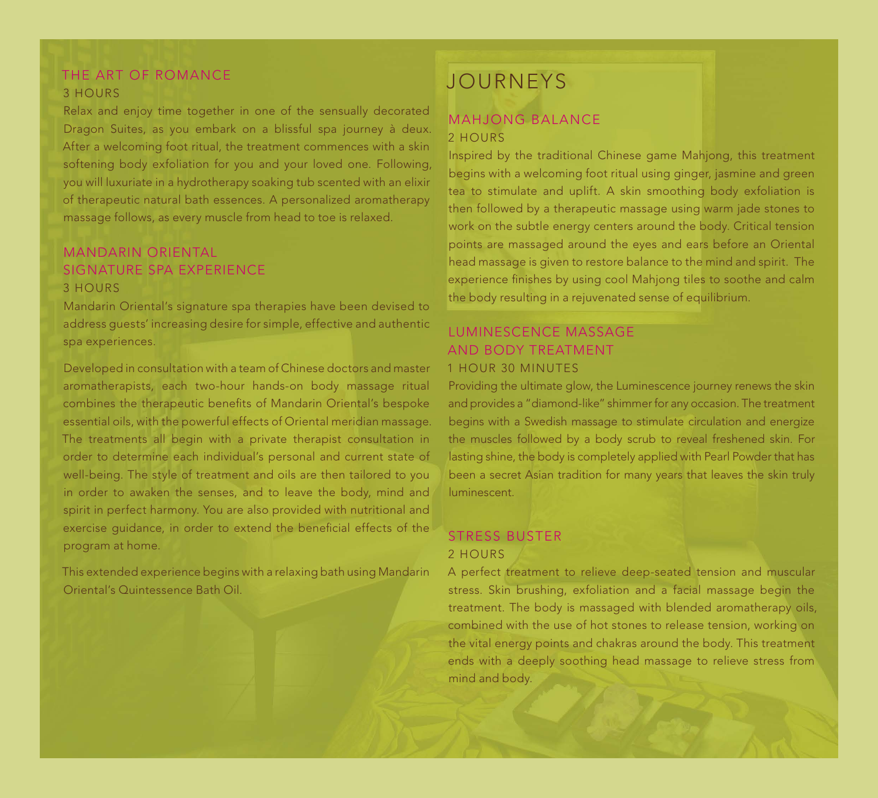# THE ART OF ROMANCE 3 hours

Relax and enjoy time together in one of the sensually decorated Dragon Suites, as you embark on a blissful spa journey à deux. After a welcoming foot ritual, the treatment commences with a skin softening body exfoliation for you and your loved one. Following, you will luxuriate in a hydrotherapy soaking tub scented with an elixir of therapeutic natural bath essences. A personalized aromatherapy massage follows, as every muscle from head to toe is relaxed.

# MANDARIN ORIENTAL SIGNATURE SPA EXPERIENCE 3 hours

Mandarin Oriental's signature spa therapies have been devised to address guests' increasing desire for simple, effective and authentic spa experiences.

Developed in consultation with a team of Chinese doctors and master aromatherapists, each two-hour hands-on body massage ritual combines the therapeutic benefits of Mandarin Oriental's bespoke essential oils, with the powerful effects of Oriental meridian massage. The treatments all begin with a private therapist consultation in order to determine each individual's personal and current state of well-being. The style of treatment and oils are then tailored to you in order to awaken the senses, and to leave the body, mind and spirit in perfect harmony. You are also provided with nutritional and exercise guidance, in order to extend the beneficial effects of the program at home.

This extended experience begins with a relaxing bath using Mandarin Oriental's Quintessence Bath Oil.

# JOURNEYS

## MAHJONG BALANCE 2 hours

Inspired by the traditional Chinese game Mahjong, this treatment begins with a welcoming foot ritual using ginger, jasmine and green tea to stimulate and uplift. A skin smoothing body exfoliation is then followed by a therapeutic massage using warm jade stones to work on the subtle energy centers around the body. Critical tension points are massaged around the eyes and ears before an Oriental head massage is given to restore balance to the mind and spirit. The experience finishes by using cool Mahjong tiles to soothe and calm the body resulting in a rejuvenated sense of equilibrium.

### LUMINESCENCE MASSAGE AND BODY TREATMENT 1 hour 30 minutes

Providing the ultimate glow, the Luminescence journey renews the skin and provides a "diamond-like" shimmer for any occasion. The treatment begins with a Swedish massage to stimulate circulation and energize the muscles followed by a body scrub to reveal freshened skin. For lasting shine, the body is completely applied with Pearl Powder that has been a secret Asian tradition for many years that leaves the skin truly luminescent.

# STRESS BUSTER 2 hours

A perfect treatment to relieve deep-seated tension and muscular stress. Skin brushing, exfoliation and a facial massage begin the treatment. The body is massaged with blended aromatherapy oils, combined with the use of hot stones to release tension, working on the vital energy points and chakras around the body. This treatment ends with a deeply soothing head massage to relieve stress from mind and body.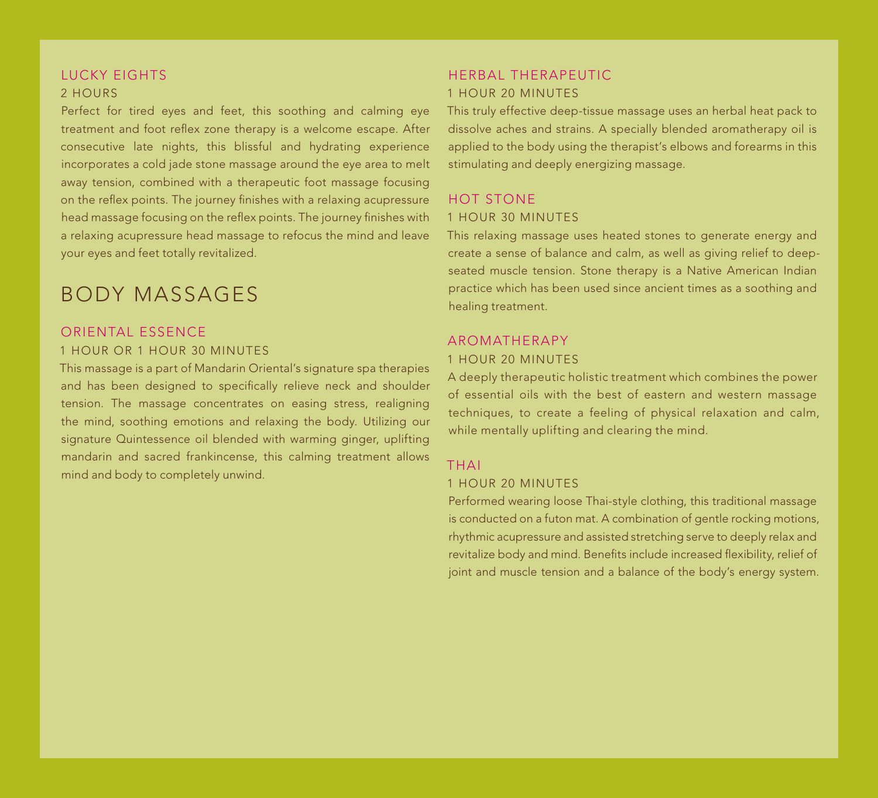### Lucky Eights 2 hours

Perfect for tired eyes and feet, this soothing and calming eye treatment and foot reflex zone therapy is a welcome escape. After consecutive late nights, this blissful and hydrating experience incorporates a cold jade stone massage around the eye area to melt away tension, combined with a therapeutic foot massage focusing on the reflex points. The journey finishes with a relaxing acupressure head massage focusing on the reflex points. The journey finishes with a relaxing acupressure head massage to refocus the mind and leave your eyes and feet totally revitalized.

# BODY MASSAGES

#### Oriental Essence 1 HOUR OR 1 HOUR 30 MINUTES

This massage is a part of Mandarin Oriental's signature spa therapies and has been designed to specifically relieve neck and shoulder tension. The massage concentrates on easing stress, realigning the mind, soothing emotions and relaxing the body. Utilizing our signature Quintessence oil blended with warming ginger, uplifting mandarin and sacred frankincense, this calming treatment allows mind and body to completely unwind.

### Herbal THERAPEUTIC 1 hour 20 minutes

This truly effective deep-tissue massage uses an herbal heat pack to dissolve aches and strains. A specially blended aromatherapy oil is applied to the body using the therapist's elbows and forearms in this stimulating and deeply energizing massage.

### HOT STONE

#### 1 hour 30 minutes

This relaxing massage uses heated stones to generate energy and create a sense of balance and calm, as well as giving relief to deepseated muscle tension. Stone therapy is a Native American Indian practice which has been used since ancient times as a soothing and healing treatment.

#### AROMATHERAPY

#### 1 hour 20 minutes

A deeply therapeutic holistic treatment which combines the power of essential oils with the best of eastern and western massage techniques, to create a feeling of physical relaxation and calm, while mentally uplifting and clearing the mind.

#### THAI

#### 1 hour 20 minutes

Performed wearing loose Thai-style clothing, this traditional massage is conducted on a futon mat. A combination of gentle rocking motions, rhythmic acupressure and assisted stretching serve to deeply relax and revitalize body and mind. Benefits include increased flexibility, relief of joint and muscle tension and a balance of the body's energy system.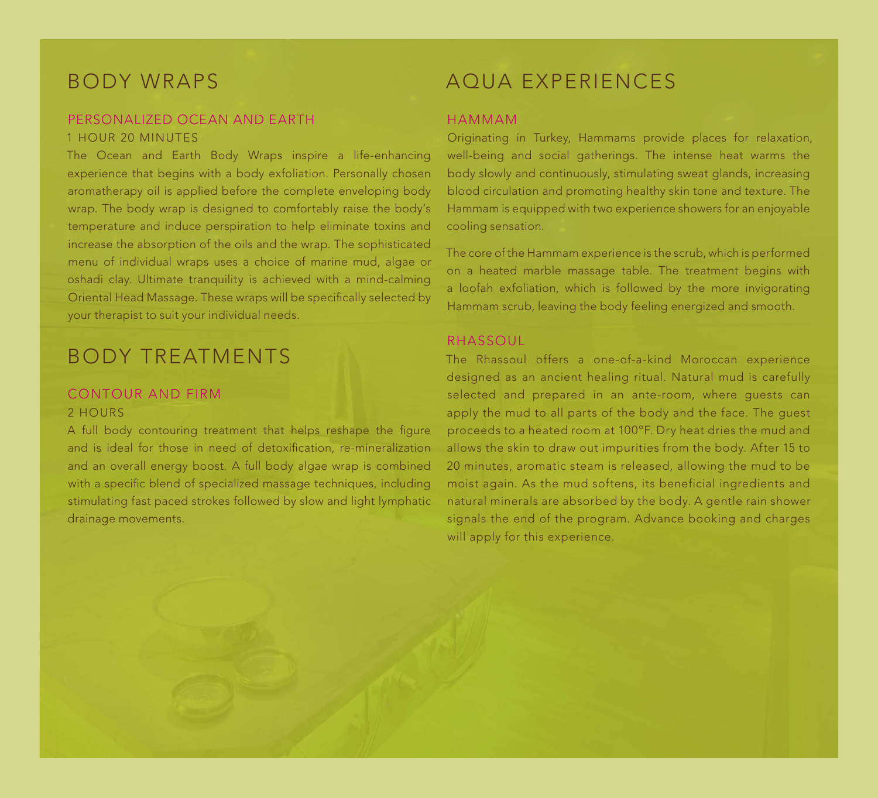# BODY WRAPS

### PERSONALIZED OCEAN AND EARTH 1 HOUR 20 MINUTES

The Ocean and Earth Body Wraps inspire a life-enhancing experience that begins with a body exfoliation. Personally chosen aromatherapy oil is applied before the complete enveloping body wrap. The body wrap is designed to comfortably raise the body's temperature and induce perspiration to help eliminate toxins and increase the absorption of the oils and the wrap. The sophisticated menu of individual wraps uses a choice of marine mud, algae or oshadi clay. Ultimate tranquility is achieved with a mind-calming Oriental Head Massage. These wraps will be specifically selected by your therapist to suit your individual needs.

# BODY TREATMENTS

# CONTOUR AND FIRM

#### 2 hours

A full body contouring treatment that helps reshape the figure and is ideal for those in need of detoxification, re-mineralization and an overall energy boost. A full body algae wrap is combined with a specific blend of specialized massage techniques, including stimulating fast paced strokes followed by slow and light lymphatic drainage movements.

# AQUA EXPERIENCES

#### HAMMAM

Originating in Turkey, Hammams provide places for relaxation, well-being and social gatherings. The intense heat warms the body slowly and continuously, stimulating sweat glands, increasing blood circulation and promoting healthy skin tone and texture. The Hammam is equipped with two experience showers for an enjoyable cooling sensation.

The core of the Hammam experience is the scrub, which is performed on a heated marble massage table. The treatment begins with a loofah exfoliation, which is followed by the more invigorating Hammam scrub, leaving the body feeling energized and smooth.

#### RHASSOUL

The Rhassoul offers a one-of-a-kind Moroccan experience designed as an ancient healing ritual. Natural mud is carefully selected and prepared in an ante-room, where guests can apply the mud to all parts of the body and the face. The guest proceeds to a heated room at 100ºF. Dry heat dries the mud and allows the skin to draw out impurities from the body. After 15 to 20 minutes, aromatic steam is released, allowing the mud to be moist again. As the mud softens, its beneficial ingredients and natural minerals are absorbed by the body. A gentle rain shower signals the end of the program. Advance booking and charges will apply for this experience.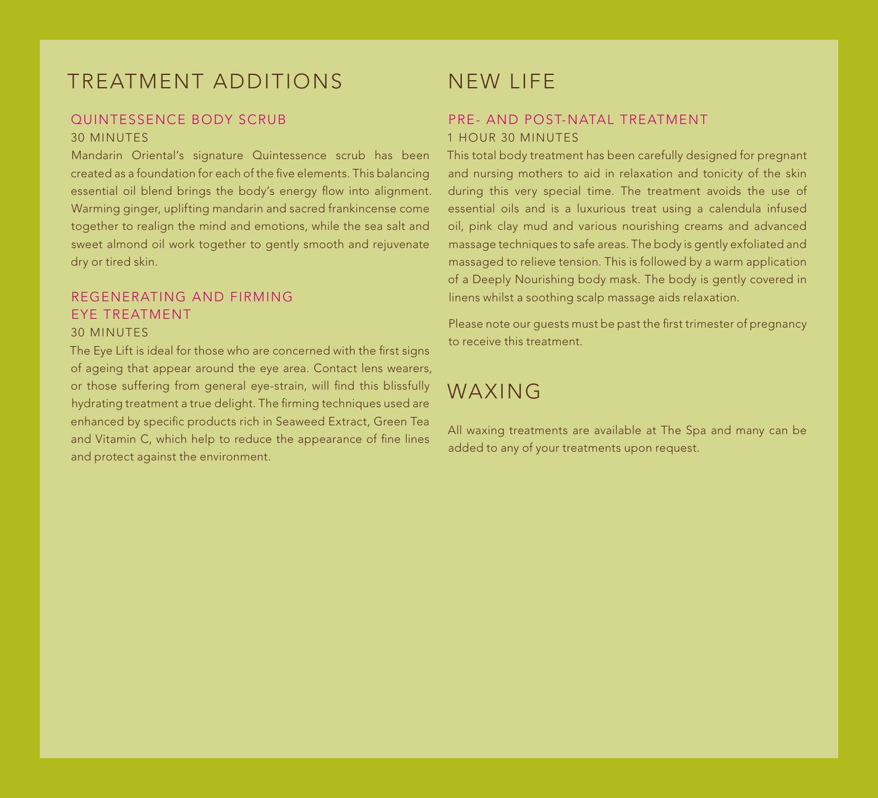# TREATMENT ADDITIONS

### QUINTESSENCE BODY SCRUB 30 minutes

Mandarin Oriental's signature Quintessence scrub has been created as a foundation for each of the five elements. This balancing essential oil blend brings the body's energy flow into alignment. Warming ginger, uplifting mandarin and sacred frankincense come together to realign the mind and emotions, while the sea salt and sweet almond oil work together to gently smooth and rejuvenate dry or tired skin.

#### REGENERATING AND FIRMING EYE TREATMENT 30 minutes

The Eye Lift is ideal for those who are concerned with the first signs of ageing that appear around the eye area. Contact lens wearers, or those suffering from general eye-strain, will find this blissfully hydrating treatment a true delight. The firming techniques used are enhanced by specific products rich in Seaweed Extract, Green Tea and Vitamin C, which help to reduce the appearance of fine lines and protect against the environment.

# NEW LIFE

# PRE- AND POST-NATAL TREATMENT 1 hour 30 minutes

This total body treatment has been carefully designed for pregnant and nursing mothers to aid in relaxation and tonicity of the skin during this very special time. The treatment avoids the use of essential oils and is a luxurious treat using a calendula infused oil, pink clay mud and various nourishing creams and advanced massage techniques to safe areas. The body is gently exfoliated and massaged to relieve tension. This is followed by a warm application of a Deeply Nourishing body mask. The body is gently covered in linens whilst a soothing scalp massage aids relaxation.

Please note our guests must be past the first trimester of pregnancy to receive this treatment.

# WAXING

All waxing treatments are available at The Spa and many can be added to any of your treatments upon request.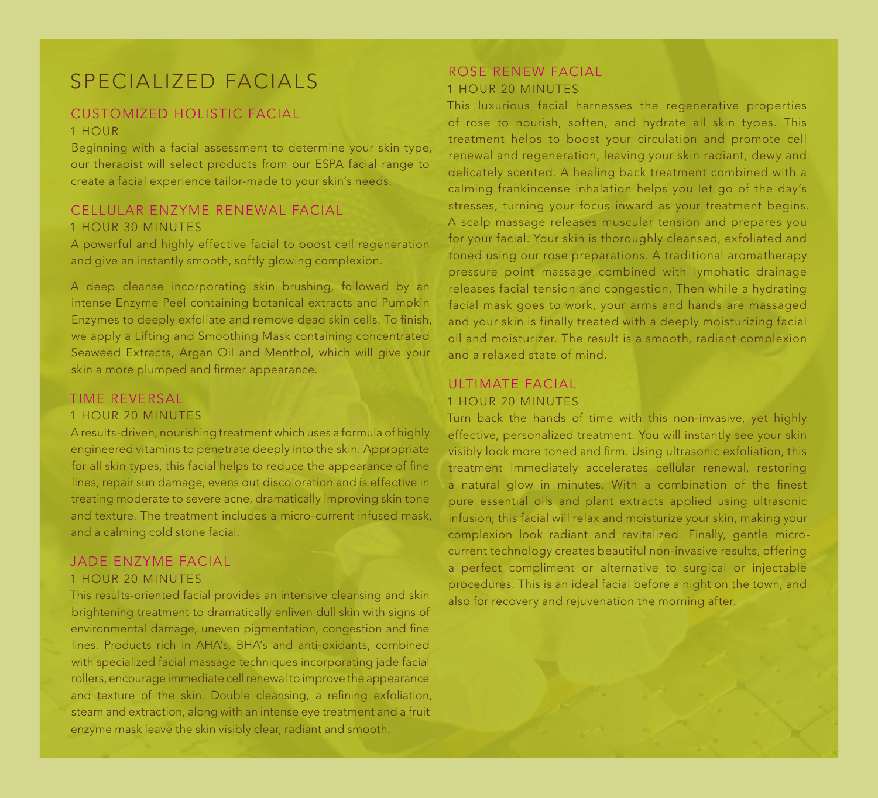# SPECIALIZED FACIALS

### CUSTOMIZED HOLISTIC FACIAL 1 hour

Beginning with a facial assessment to determine your skin type, our therapist will select products from our ESPA facial range to create a facial experience tailor-made to your skin's needs.

### CELLULAR ENZYME RENEWAL FACIAL 1 HOUR 30 MINUTES

A powerful and highly effective facial to boost cell regeneration and give an instantly smooth, softly glowing complexion.

A deep cleanse incorporating skin brushing, followed by an intense Enzyme Peel containing botanical extracts and Pumpkin Enzymes to deeply exfoliate and remove dead skin cells. To finish, we apply a Lifting and Smoothing Mask containing concentrated Seaweed Extracts, Argan Oil and Menthol, which will give your skin a more plumped and firmer appearance.

#### TIME REVERSAL

#### 1 hour 20 minutes

A results-driven, nourishing treatment which uses a formula of highly engineered vitamins to penetrate deeply into the skin. Appropriate for all skin types, this facial helps to reduce the appearance of fine lines, repair sun damage, evens out discoloration and is effective in treating moderate to severe acne, dramatically improving skin tone and texture. The treatment includes a micro-current infused mask, and a calming cold stone facial.

#### JADE ENZYME FACIAL 1 hour 20 minutes

This results-oriented facial provides an intensive cleansing and skin brightening treatment to dramatically enliven dull skin with signs of environmental damage, uneven pigmentation, congestion and fine lines. Products rich in AHA's, BHA's and anti-oxidants, combined with specialized facial massage techniques incorporating jade facial rollers, encourage immediate cell renewal to improve the appearance and texture of the skin. Double cleansing, a refining exfoliation, steam and extraction, along with an intense eye treatment and a fruit enzyme mask leave the skin visibly clear, radiant and smooth.

### ROSE RENEW FACIAL 1 HOUR 20 MINUTES

This luxurious facial harnesses the regenerative properties of rose to nourish, soften, and hydrate all skin types. This treatment helps to boost your circulation and promote cell renewal and regeneration, leaving your skin radiant, dewy and delicately scented. A healing back treatment combined with a calming frankincense inhalation helps you let go of the day's stresses, turning your focus inward as your treatment begins. A scalp massage releases muscular tension and prepares you for your facial. Your skin is thoroughly cleansed, exfoliated and toned using our rose preparations. A traditional aromatherapy pressure point massage combined with lymphatic drainage releases facial tension and congestion. Then while a hydrating facial mask goes to work, your arms and hands are massaged and your skin is finally treated with a deeply moisturizing facial oil and moisturizer. The result is a smooth, radiant complexion and a relaxed state of mind.

### ULTIMATE FACIAL 1 HOUR 20 MINUTES

Turn back the hands of time with this non-invasive, yet highly effective, personalized treatment. You will instantly see your skin visibly look more toned and firm. Using ultrasonic exfoliation, this treatment immediately accelerates cellular renewal, restoring a natural glow in minutes. With a combination of the finest pure essential oils and plant extracts applied using ultrasonic infusion; this facial will relax and moisturize your skin, making your complexion look radiant and revitalized. Finally, gentle microcurrent technology creates beautiful non-invasive results, offering a perfect compliment or alternative to surgical or injectable procedures. This is an ideal facial before a night on the town, and also for recovery and rejuvenation the morning after.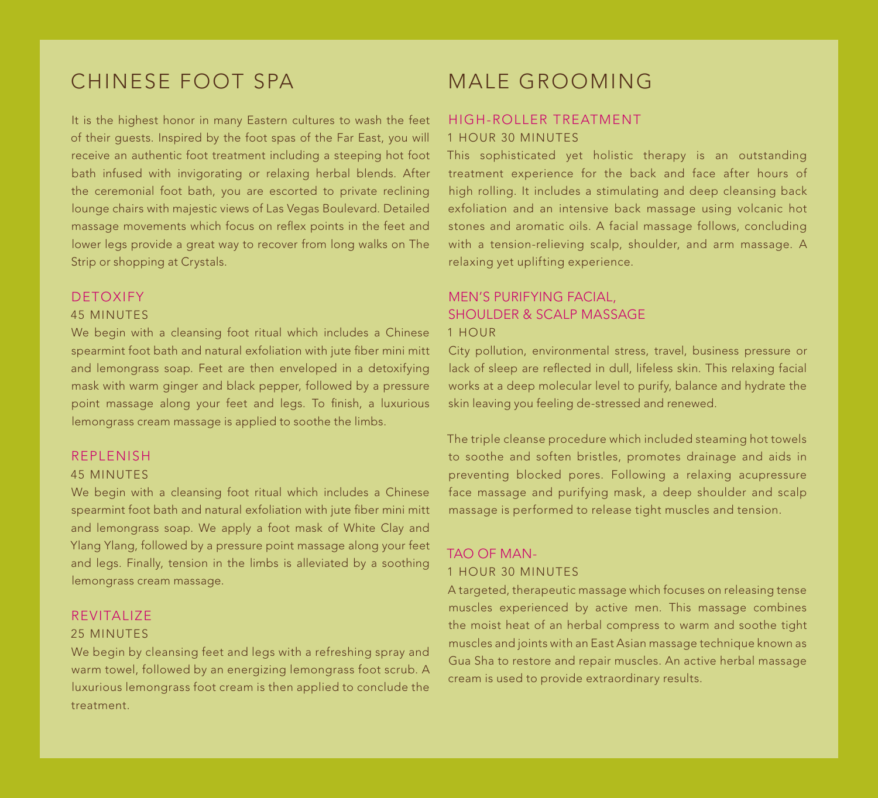# chinese foot spa

It is the highest honor in many Eastern cultures to wash the feet of their guests. Inspired by the foot spas of the Far East, you will receive an authentic foot treatment including a steeping hot foot bath infused with invigorating or relaxing herbal blends. After the ceremonial foot bath, you are escorted to private reclining lounge chairs with majestic views of Las Vegas Boulevard. Detailed massage movements which focus on reflex points in the feet and lower legs provide a great way to recover from long walks on The Strip or shopping at Crystals.

### DETOXIFY

#### 45 minutes

We begin with a cleansing foot ritual which includes a Chinese spearmint foot bath and natural exfoliation with jute fiber mini mitt and lemongrass soap. Feet are then enveloped in a detoxifying mask with warm ginger and black pepper, followed by a pressure point massage along your feet and legs. To finish, a luxurious lemongrass cream massage is applied to soothe the limbs.

### REPLENISH

#### 45 minutes

We begin with a cleansing foot ritual which includes a Chinese spearmint foot bath and natural exfoliation with jute fiber mini mitt and lemongrass soap. We apply a foot mask of White Clay and Ylang Ylang, followed by a pressure point massage along your feet and legs. Finally, tension in the limbs is alleviated by a soothing lemongrass cream massage.

#### REVITALIZE

#### 25 minutes

We begin by cleansing feet and legs with a refreshing spray and warm towel, followed by an energizing lemongrass foot scrub. A luxurious lemongrass foot cream is then applied to conclude the treatment.

# MALE GROOMING

### HIGH-ROLLER TREATMENT 1 hour 30 minutes

This sophisticated yet holistic therapy is an outstanding treatment experience for the back and face after hours of high rolling. It includes a stimulating and deep cleansing back exfoliation and an intensive back massage using volcanic hot stones and aromatic oils. A facial massage follows, concluding with a tension-relieving scalp, shoulder, and arm massage. A relaxing yet uplifting experience.

### MEN'S PURIFYING FACIAL, SHOULDER & SCALP MASSAGE 1 hour

City pollution, environmental stress, travel, business pressure or lack of sleep are reflected in dull, lifeless skin. This relaxing facial works at a deep molecular level to purify, balance and hydrate the skin leaving you feeling de-stressed and renewed.

The triple cleanse procedure which included steaming hot towels to soothe and soften bristles, promotes drainage and aids in preventing blocked pores. Following a relaxing acupressure face massage and purifying mask, a deep shoulder and scalp massage is performed to release tight muscles and tension.

## Tao of Man-1 hour 30 minutes

A targeted, therapeutic massage which focuses on releasing tense muscles experienced by active men. This massage combines the moist heat of an herbal compress to warm and soothe tight muscles and joints with an East Asian massage technique known as Gua Sha to restore and repair muscles. An active herbal massage cream is used to provide extraordinary results.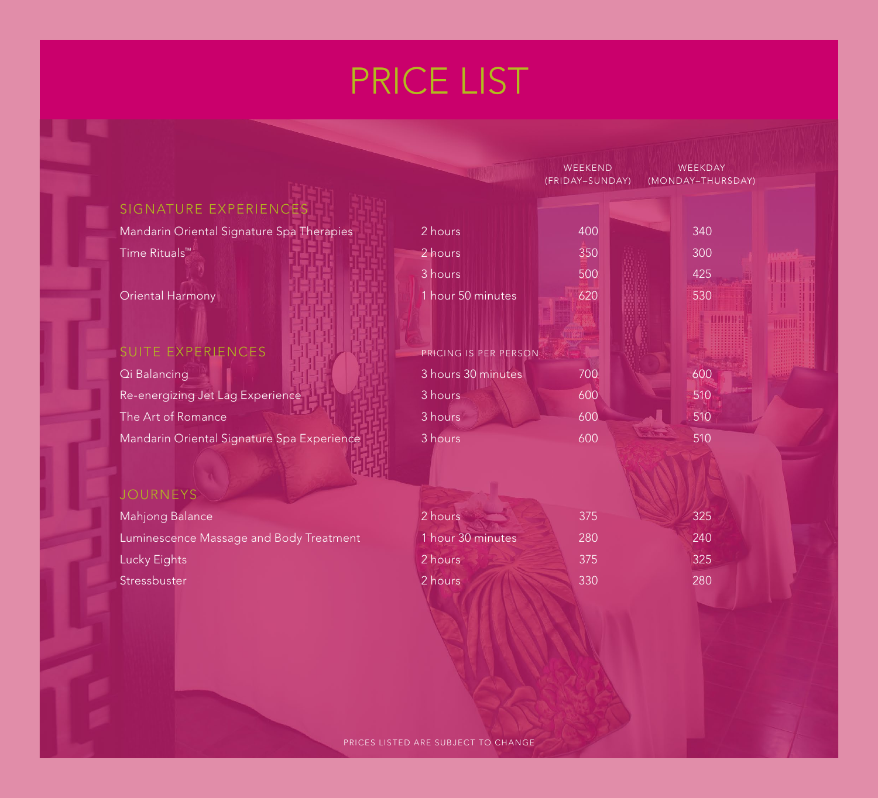# price list

|                                            |                       | WEEKEND<br>(FRIDAY-SUNDAY) | WEEKDAY<br>(MONDAY-THURSDAY) |
|--------------------------------------------|-----------------------|----------------------------|------------------------------|
| SIGNATURE EXPERIENCES                      |                       |                            |                              |
| Mandarin Oriental Signature Spa Therapies  | 2 hours               | 400                        | 340                          |
| Time Rituals <sup>™</sup>                  | 2 hours               | 350                        | 300                          |
|                                            | 3 hours               | 500                        | 425                          |
| <b>Oriental Harmony</b>                    | 1 hour 50 minutes     | 620                        | 530                          |
|                                            |                       |                            |                              |
| <b>SUITE EXPERIENCES</b>                   | PRICING IS PER PERSON |                            |                              |
| Qi Balancing                               | 3 hours 30 minutes    | 700                        | 600                          |
| Re-energizing Jet Lag Experience           | 3 hours               | 600                        | 510                          |
| The Art of Romance                         | 3 hours               | 600                        | 510                          |
| Mandarin Oriental Signature Spa Experience | 3 hours               | 600                        | 510                          |
|                                            |                       |                            |                              |
| <b>JOURNEYS</b>                            |                       |                            |                              |
| Mahjong Balance                            | 2 hours               | 375                        | 325                          |
| Luminescence Massage and Body Treatment    | 1 hour 30 minutes     | 280                        | 240                          |
| Lucky Eights                               | 2 hours               | 375                        | 325                          |
| Stressbuster                               | 2 hours               | 330                        | 280                          |
|                                            |                       |                            |                              |
|                                            |                       |                            |                              |
|                                            |                       |                            |                              |
|                                            |                       |                            |                              |
|                                            |                       |                            |                              |
|                                            |                       |                            |                              |

PRICES LISTED ARE SUBJECT TO CHANGE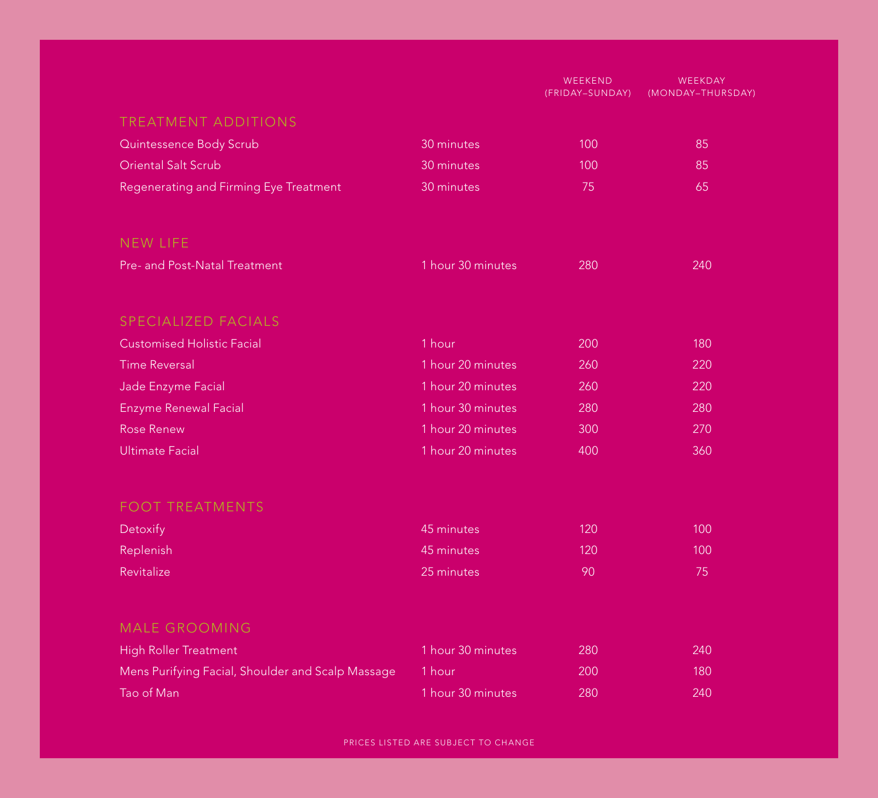|                                                   |                   | WEEKEND<br>(FRIDAY-SUNDAY) | WEEKDAY<br>(MONDAY-THURSDAY) |
|---------------------------------------------------|-------------------|----------------------------|------------------------------|
| <b>TREATMENT ADDITIONS</b>                        |                   |                            |                              |
| Quintessence Body Scrub                           | 30 minutes        | 100                        | 85                           |
| <b>Oriental Salt Scrub</b>                        | 30 minutes        | 100                        | 85                           |
| Regenerating and Firming Eye Treatment            | 30 minutes        | 75                         | 65                           |
| <b>NEW LIFE</b>                                   |                   |                            |                              |
| Pre- and Post-Natal Treatment                     | 1 hour 30 minutes | 280                        | 240                          |
| SPECIALIZED FACIALS                               |                   |                            |                              |
| <b>Customised Holistic Facial</b>                 | 1 hour            | 200                        | 180                          |
| <b>Time Reversal</b>                              | 1 hour 20 minutes | 260                        | 220                          |
| Jade Enzyme Facial                                | 1 hour 20 minutes | 260                        | 220                          |
| <b>Enzyme Renewal Facial</b>                      | 1 hour 30 minutes | 280                        | 280                          |
| <b>Rose Renew</b>                                 | 1 hour 20 minutes | 300                        | 270                          |
| <b>Ultimate Facial</b>                            | 1 hour 20 minutes | 400                        | 360                          |
| <b>FOOT TREATMENTS</b>                            |                   |                            |                              |
| Detoxify                                          | 45 minutes        | 120                        | 100                          |
| Replenish                                         | 45 minutes        | 120                        | 100                          |
| Revitalize                                        | 25 minutes        | 90                         | 75                           |
| <b>MALE GROOMING</b>                              |                   |                            |                              |
| <b>High Roller Treatment</b>                      | 1 hour 30 minutes | 280                        | 240                          |
| Mens Purifying Facial, Shoulder and Scalp Massage | 1 hour            | 200                        | 180                          |
| Tao of Man                                        | 1 hour 30 minutes | 280                        | 240                          |

PRICES LISTED ARE SUBJECT TO CHANGE